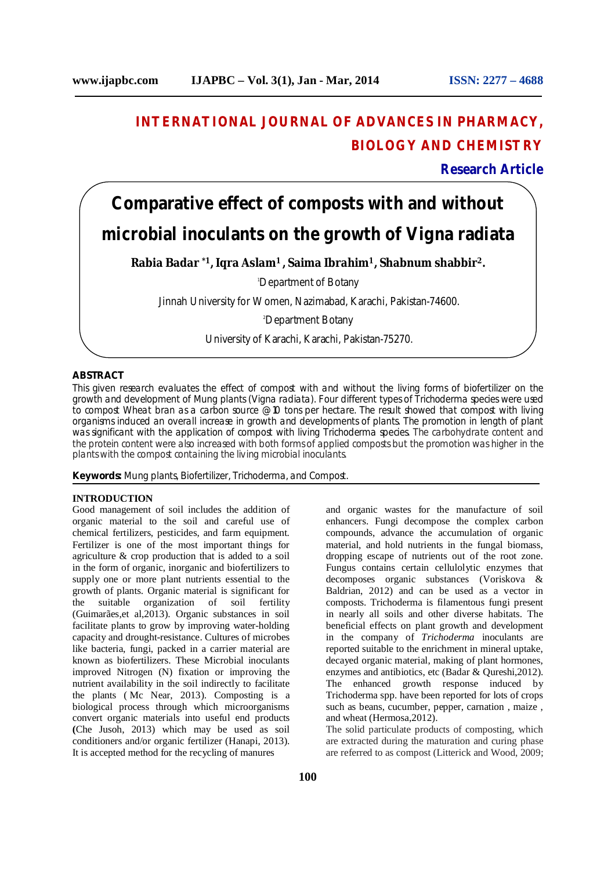# **INTERNATIONAL JOURNAL OF ADVANCES IN PHARMACY, BIOLOGY AND CHEMISTRY**

**Research Article**

# **Comparative effect of composts with and without microbial inoculants on the growth of Vigna radiata**

**Rabia Badar \*1, Iqra Aslam<sup>1</sup>, Saima Ibrahim<sup>1</sup>, Shabnum shabbir<sup>2</sup>.**

<sup>1</sup>Department of Botany

Jinnah University for Women, Nazimabad, Karachi, Pakistan-74600.

<sup>2</sup>Department Botany

University of Karachi, Karachi, Pakistan-75270.

# **ABSTRACT**

This given research evaluates the effect of compost with and without the living forms of biofertilizer on the growth and development of Mung plants (Vigna radiata). Four different types of Trichoderma species were used to compost Wheat bran as a carbon source @ 10 tons per hectare. The result showed that compost with living organisms induced an overall increase in growth and developments of plants. The promotion in length of plant was significant with the application of compost with living Trichoderma species. The carbohydrate content and the protein content were also increased with both forms of applied composts but the promotion was higher in the plants with the compost containing the living microbial inoculants.

**Keywords:** Mung plants, Biofertilizer, Trichoderma, and Compost.

#### **INTRODUCTION**

Good management of soil includes the addition of organic material to the soil and careful use of chemical fertilizers, pesticides, and farm equipment. Fertilizer is one of the most important things for agriculture & crop production that is added to a soil in the form of organic, inorganic and biofertilizers to supply one or more plant nutrients essential to the growth of plants. Organic material is significant for the suitable organization of soil fertility (Guimarães,et al,2013). Organic substances in soil facilitate plants to grow by improving water-holding capacity and drought-resistance. Cultures of microbes like bacteria, fungi, packed in a carrier material are known as biofertilizers. These Microbial inoculants improved Nitrogen (N) fixation or improving the nutrient availability in the soil indirectly to facilitate the plants ( Mc Near, 2013). Composting is a biological process through which microorganisms convert organic materials into useful end products **(**Che Jusoh, 2013) which may be used as soil conditioners and/or organic fertilizer (Hanapi, 2013). It is accepted method for the recycling of manures

and organic wastes for the manufacture of soil enhancers. Fungi decompose the complex carbon compounds, advance the accumulation of organic material, and hold nutrients in the fungal biomass, dropping escape of nutrients out of the root zone. Fungus contains certain cellulolytic enzymes that decomposes organic substances (Voriskova & Baldrian, 2012) and can be used as a vector in composts. Trichoderma is filamentous fungi present in nearly all soils and other diverse habitats. The beneficial effects on plant growth and development in the company of *Trichoderma* inoculants are reported suitable to the enrichment in mineral uptake, decayed organic material, making of plant hormones, enzymes and antibiotics, etc (Badar & Qureshi,2012). The enhanced growth response induced by Trichoderma spp. have been reported for lots of crops such as beans, cucumber, pepper, carnation , maize , and wheat (Hermosa,2012).

The solid particulate products of composting, which are extracted during the maturation and curing phase are referred to as compost (Litterick and Wood, 2009;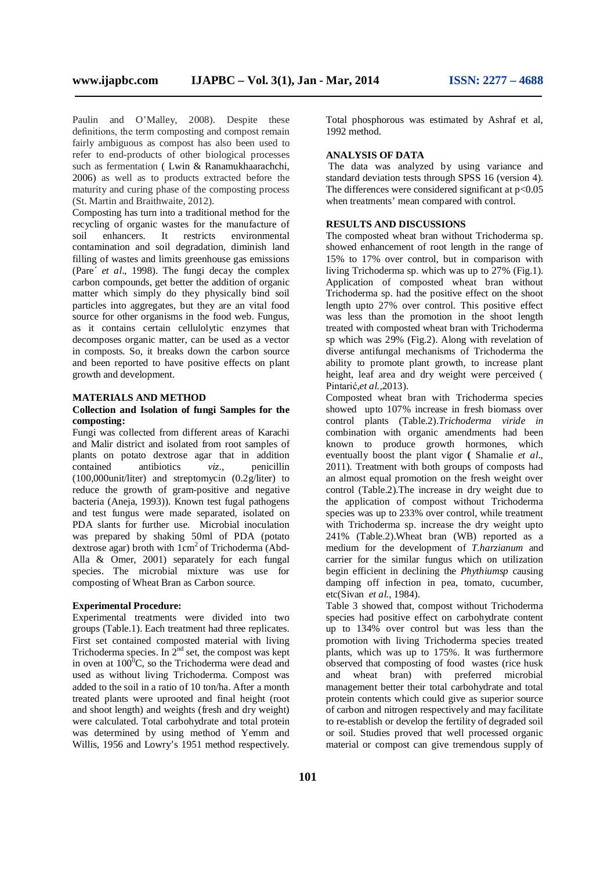Paulin and O'Malley, 2008). Despite these definitions, the term composting and compost remain fairly ambiguous as compost has also been used to refer to end-products of other biological processes such as fermentation ( Lwin & Ranamukhaarachchi, 2006) as well as to products extracted before the maturity and curing phase of the composting process (St. Martin and Braithwaite, 2012).

Composting has turn into a traditional method for the recycling of organic wastes for the manufacture of soil enhancers. It restricts environmental contamination and soil degradation, diminish land filling of wastes and limits greenhouse gas emissions (Pare´ *et al*., 1998). The fungi decay the complex carbon compounds, get better the addition of organic matter which simply do they physically bind soil particles into aggregates, but they are an vital food source for other organisms in the food web. Fungus, as it contains certain cellulolytic enzymes that decomposes organic matter, can be used as a vector in composts. So, it breaks down the carbon source and been reported to have positive effects on plant growth and development.

#### **MATERIALS AND METHOD**

# **Collection and Isolation of fungi Samples for the composting:**

Fungi was collected from different areas of Karachi and Malir district and isolated from root samples of plants on potato dextrose agar that in addition contained antibiotics *viz.,* penicillin (100,000unit/liter) and streptomycin (0.2g/liter) to reduce the growth of gram-positive and negative bacteria (Aneja, 1993)). Known test fugal pathogens and test fungus were made separated, isolated on PDA slants for further use. Microbial inoculation was prepared by shaking 50ml of PDA (potato dextrose agar) broth with  $1 \text{ cm}^2$  of Trichoderma (Abd-Alla & Omer, 2001) separately for each fungal species. The microbial mixture was use for composting of Wheat Bran as Carbon source.

#### **Experimental Procedure:**

Experimental treatments were divided into two groups (Table.1). Each treatment had three replicates. First set contained composted material with living Trichoderma species. In  $2<sup>nd</sup>$  set, the compost was kept in oven at  $100^0$ C, so the Trichoderma were dead and used as without living Trichoderma. Compost was added to the soil in a ratio of 10 ton/ha. After a month treated plants were uprooted and final height (root and shoot length) and weights (fresh and dry weight) were calculated. Total carbohydrate and total protein was determined by using method of Yemm and Willis, 1956 and Lowry's 1951 method respectively.

Total phosphorous was estimated by Ashraf et al, 1992 method.

# **ANALYSIS OF DATA**

The data was analyzed by using variance and standard deviation tests through SPSS 16 (version 4). The differences were considered significant at  $p<0.05$ when treatments' mean compared with control.

# **RESULTS AND DISCUSSIONS**

The composted wheat bran without Trichoderma sp. showed enhancement of root length in the range of 15% to 17% over control, but in comparison with living Trichoderma sp. which was up to  $27\%$  (Fig.1). Application of composted wheat bran without Trichoderma sp. had the positive effect on the shoot length upto 27% over control. This positive effect was less than the promotion in the shoot length treated with composted wheat bran with Trichoderma sp which was 29% (Fig.2). Along with revelation of diverse antifungal mechanisms of Trichoderma the ability to promote plant growth, to increase plant height, leaf area and dry weight were perceived ( Pintarić,*et al.,*2013).

Composted wheat bran with Trichoderma species showed upto 107% increase in fresh biomass over control plants (Table.2).*Trichoderma viride in* combination with organic amendments had been known to produce growth hormones, which eventually boost the plant vigor **(** Shamalie *et al*., 2011). Treatment with both groups of composts had an almost equal promotion on the fresh weight over control (Table.2).The increase in dry weight due to the application of compost without Trichoderma species was up to 233% over control, while treatment with Trichoderma sp. increase the dry weight upto 241% (Table.2).Wheat bran (WB) reported as a medium for the development of *T.harzianum* and carrier for the similar fungus which on utilization begin efficient in declining the *Phythiumsp* causing damping off infection in pea, tomato, cucumber, etc(Sivan *et al.,* 1984).

Table 3 showed that, compost without Trichoderma species had positive effect on carbohydrate content up to 134% over control but was less than the promotion with living Trichoderma species treated plants, which was up to 175%. It was furthermore observed that composting of food wastes (rice husk and wheat bran) with preferred microbial management better their total carbohydrate and total protein contents which could give as superior source of carbon and nitrogen respectively and may facilitate to re-establish or develop the fertility of degraded soil or soil. Studies proved that well processed organic material or compost can give tremendous supply of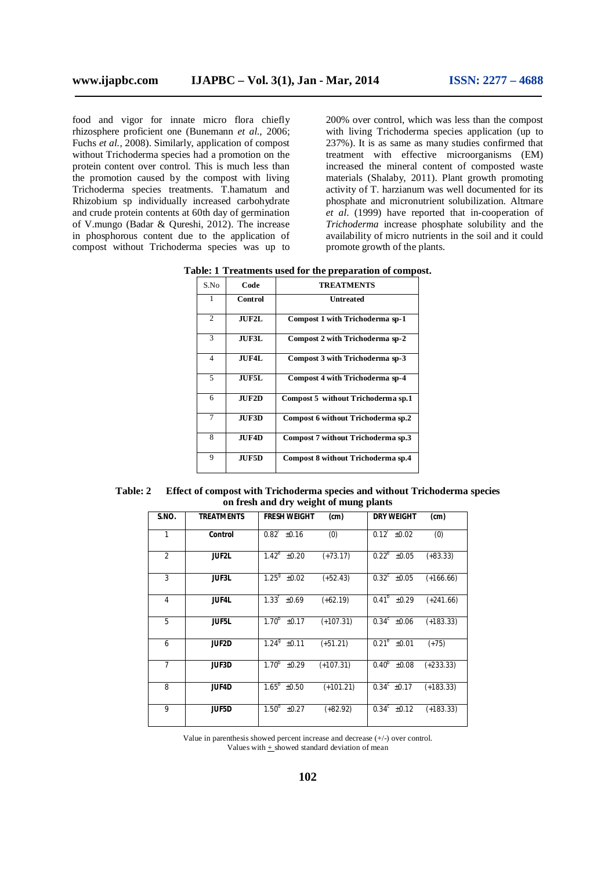food and vigor for innate micro flora chiefly rhizosphere proficient one (Bunemann *et al.,* 2006; Fuchs *et al.*, 2008). Similarly, application of compost without Trichoderma species had a promotion on the protein content over control. This is much less than the promotion caused by the compost with living Trichoderma species treatments. T.hamatum and Rhizobium sp individually increased carbohydrate and crude protein contents at 60th day of germination of V.mungo (Badar & Qureshi, 2012). The increase in phosphorous content due to the application of compost without Trichoderma species was up to

200% over control, which was less than the compost with living Trichoderma species application (up to 237%). It is as same as many studies confirmed that treatment with effective microorganisms (EM) increased the mineral content of composted waste materials (Shalaby, 2011). Plant growth promoting activity of T. harzianum was well documented for its phosphate and micronutrient solubilization. Altmare *et al*. (1999) have reported that in-cooperation of *Trichoderma* increase phosphate solubility and the availability of micro nutrients in the soil and it could promote growth of the plants.

|  |  |  |  |  |  |  | Table: 1 Treatments used for the preparation of compost. |  |  |
|--|--|--|--|--|--|--|----------------------------------------------------------|--|--|
|--|--|--|--|--|--|--|----------------------------------------------------------|--|--|

| S.No           | Code         | <b>TREATMENTS</b>                  |  |  |
|----------------|--------------|------------------------------------|--|--|
|                | Control      | Untreated                          |  |  |
| 2              | <b>JUF2L</b> | Compost 1 with Trichoderma sp-1    |  |  |
| 3              | JUF3L        | Compost 2 with Trichoderma sp-2    |  |  |
| $\overline{4}$ | JUF4L        | Compost 3 with Trichoderma sp-3    |  |  |
| 5              | JUF5L        | Compost 4 with Trichoderma sp-4    |  |  |
| 6              | $JU$ $F2D$   | Compost 5 without Trichoderma sp.1 |  |  |
| $\overline{7}$ | <b>JUF3D</b> | Compost 6 without Trichoderma sp.2 |  |  |
| 8              | <b>JUF4D</b> | Compost 7 without Trichoderma sp.3 |  |  |
| 9              | <b>JUF5D</b> | Compost 8 without Trichoderma sp.4 |  |  |

| <b>Table: 2</b> | Effect of compost with Trichoderma species and without Trichoderma species |
|-----------------|----------------------------------------------------------------------------|
|                 | on fresh and dry weight of mung plants                                     |

| S.NO.          | <b>TREATMENTS</b> | <b>FRESH WEIGHT</b>       | (cm)        | <b>DRY WEIGHT</b>         | (cm)        |
|----------------|-------------------|---------------------------|-------------|---------------------------|-------------|
| 1              | Control           | $0.82^{\text{L}}$ ±0.16   | (0)         | $0.12^{\dagger} \pm 0.02$ | (0)         |
| $\overline{2}$ | <b>JUF2L</b>      | $1.42^e \pm 0.20$         | $(+73.17)$  | $0.22^e \pm 0.05$         | $(+83.33)$  |
| 3              | <b>JUF3L</b>      | $\overline{1.25}^9$ ±0.02 | $(+52.43)$  | $0.32^c \pm 0.05$         | $(+166.66)$ |
| $\overline{4}$ | <b>JUF4L</b>      | $1.33^{t}$ ±0.69          | $(+62.19)$  | $0.41^{b}$ ±0.29          | $(+241.66)$ |
| 5              | <b>JUF5L</b>      | $1.70^{b}$<br>±0.17       | $(+107.31)$ | $0.34^c$ ±0.06            | $(+183.33)$ |
| 6              | <b>JUF2D</b>      | $1.24^9$ ±0.11            | $(+51.21)$  | $\overline{0.21^e}$ ±0.01 | $(+75)$     |
| $\overline{7}$ | <b>JUF3D</b>      | $1.70^{b}$<br>±0.29       | $(+107.31)$ | $0.40^{b}$<br>±0.08       | $(+233.33)$ |
| 8              | <b>JUF4D</b>      | $1.65^{\circ}$ ±0.50      | $(+101.21)$ | $0.34^c$ ±0.17            | $(+183.33)$ |
| 9              | <b>JUF5D</b>      | $1.50^{\circ}$ ±0.27      | $(+82.92)$  | $0.34^{\circ}$ ±0.12      | $(+183.33)$ |

Value in parenthesis showed percent increase and decrease (+/-) over control. Values with + showed standard deviation of mean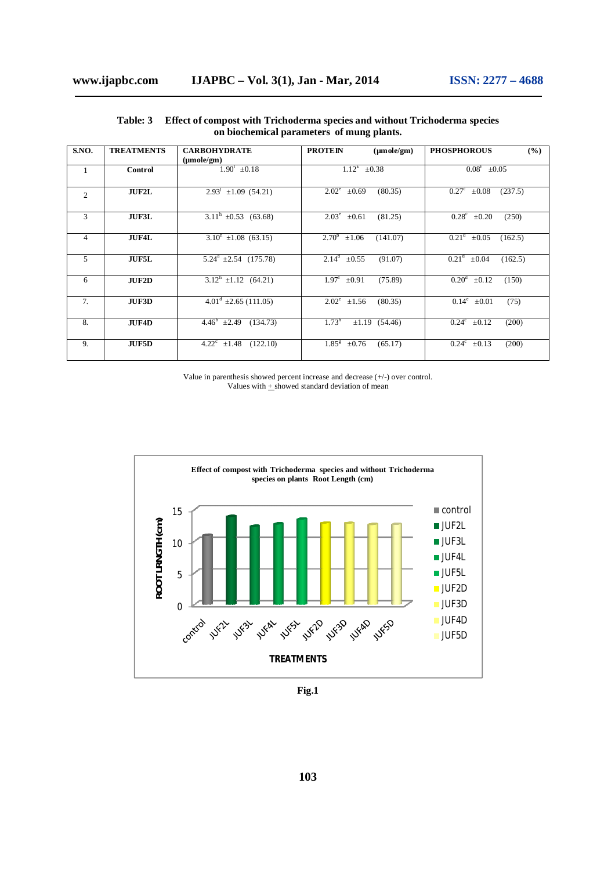| S.NO.          | <b>TREATMENTS</b> | <b>CARBOHYDRATE</b>                      | <b>PROTEIN</b><br>$(\mu \text{mole/cm})$   | <b>PHOSPHOROUS</b><br>$($ %)               |
|----------------|-------------------|------------------------------------------|--------------------------------------------|--------------------------------------------|
|                |                   | $(\mu \text{mole}/\text{gm})$            |                                            |                                            |
| $\mathbf{1}$   | Control           | $1.90^1 \pm 0.18$                        | $1.12^{k}$<br>$\pm 0.38$                   | $0.08^{\rm f}$<br>$\pm 0.05$               |
|                |                   |                                          |                                            |                                            |
| $\overline{c}$ | <b>JUF2L</b>      | $2.93^{\circ}$ ±1.09 (54.21)             | $2.02^e \pm 0.69$<br>(80.35)               | $0.27^{\circ}$<br>(237.5)<br>$\pm 0.08$    |
|                |                   |                                          |                                            |                                            |
| 3              | <b>JUF3L</b>      | $3.11^h$ ±0.53 (63.68)                   | $2.03^e$<br>(81.25)<br>$\pm 0.61$          | $\overline{0.28^c}$ ±0.20<br>(250)         |
|                |                   |                                          |                                            |                                            |
| 4              | <b>JUF4L</b>      | $3.10^h$ ±1.08 (63.15)                   | $2.70^{b}$<br>$\pm 1.06$<br>(141.07)       | 0.21 <sup>d</sup><br>$\pm 0.05$<br>(162.5) |
|                |                   |                                          |                                            |                                            |
| 5              | <b>JUF5L</b>      | $5.24^a \pm 2.54$ (175.78)               | $\overline{2.14^d}$ ±0.55<br>(91.07)       | 0.21 <sup>d</sup><br>$\pm 0.04$<br>(162.5) |
|                |                   |                                          |                                            |                                            |
| 6              | <b>JUF2D</b>      | $3.12^h$ ±1.12 (64.21)                   | $1.97^{\text{t}}$<br>$\pm 0.91$<br>(75.89) | 0.20 <sup>d</sup><br>$\pm 0.12$<br>(150)   |
|                |                   |                                          |                                            |                                            |
| 7.             | <b>JUF3D</b>      | $4.01^d$ ±2.65 (111.05)                  | $\overline{2.02^e}$ ±1.56<br>(80.35)       | $\overline{0.14^e}$ ±0.01<br>(75)          |
|                |                   |                                          |                                            |                                            |
| 8.             | <b>JUF4D</b>      | $4.46^b$ ±2.49<br>(134.73)               | 1.73 <sup>h</sup><br>$\pm 1.19$ (54.46)    | $0.24^c$ $\pm 0.12$<br>(200)               |
|                |                   |                                          |                                            |                                            |
| 9.             | <b>JUF5D</b>      | $4.22^{\circ}$<br>$\pm 1.48$<br>(122.10) | $1.85^{8}$<br>$\pm 0.76$<br>(65.17)        | $0.24^c \pm 0.13$<br>(200)                 |
|                |                   |                                          |                                            |                                            |

**Table: 3 Effect of compost with Trichoderma species and without Trichoderma species on biochemical parameters of mung plants.** 

Value in parenthesis showed percent increase and decrease (+/-) over control. Values with  $+$  showed standard deviation of mean



**Fig.1**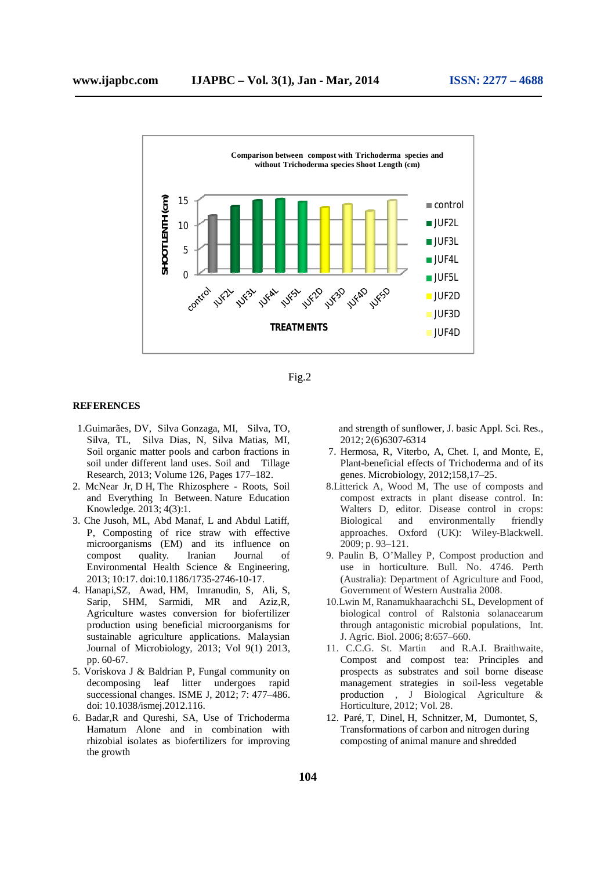

Fig.2

#### **REFERENCES**

- 1.Guimarães, DV, Silva Gonzaga, MI, Silva, TO, Silva, TL, Silva Dias, N, Silva Matias, MI, Soil organic matter pools and carbon fractions in soil under different land uses. Soil and Tillage Research, 2013; Volume 126, Pages 177–182.
- 2. McNear Jr, D H, The Rhizosphere Roots, Soil and Everything In Between. Nature Education Knowledge. 2013; 4(3):1.
- 3. Che Jusoh, ML, Abd Manaf, L and Abdul Latiff, P, Composting of rice straw with effective microorganisms (EM) and its influence on compost quality. Iranian Journal of Environmental Health Science & Engineering, 2013; 10:17. doi:10.1186/1735-2746-10-17.
- 4. Hanapi,SZ, Awad, HM, Imranudin, S, Ali, S, Sarip, SHM, Sarmidi, MR and Aziz,R, Agriculture wastes conversion for biofertilizer production using beneficial microorganisms for sustainable agriculture applications. Malaysian Journal of Microbiology, 2013; Vol 9(1) 2013, pp. 60-67.
- 5. Voriskova J & Baldrian P, Fungal community on decomposing leaf litter undergoes rapid successional changes. ISME J, 2012; 7: 477–486. doi: 10.1038/ismej.2012.116.
- 6. Badar,R and Qureshi, SA, Use of Trichoderma Hamatum Alone and in combination with rhizobial isolates as biofertilizers for improving the growth

 and strength of sunflower, J. basic Appl. Sci. Res., 2012; 2(6)6307-6314

- 7. Hermosa, R, Viterbo, A, Chet. I, and Monte, E, Plant-beneficial effects of Trichoderma and of its genes. Microbiology, 2012;158,17–25.
- 8.Litterick A, Wood M, The use of composts and compost extracts in plant disease control. In: Walters D, editor. Disease control in crops: Biological and environmentally friendly approaches. Oxford (UK): Wiley-Blackwell. 2009; p. 93–121.
- 9. Paulin B, O'Malley P, Compost production and use in horticulture. Bull. No. 4746. Perth (Australia): Department of Agriculture and Food, Government of Western Australia 2008.
- 10.Lwin M, Ranamukhaarachchi SL, Development of biological control of Ralstonia solanacearum through antagonistic microbial populations, Int. J. Agric. Biol. 2006; 8:657–660.
- 11. C.C.G. St. Martin and R.A.I. Braithwaite, Compost and compost tea: Principles and prospects as substrates and soil borne disease management strategies in soil-less vegetable production , J Biological Agriculture & Horticulture, 2012; Vol. 28.
- 12. Paré, T, Dinel, H, Schnitzer, M, Dumontet, S, Transformations of carbon and nitrogen during composting of animal manure and shredded